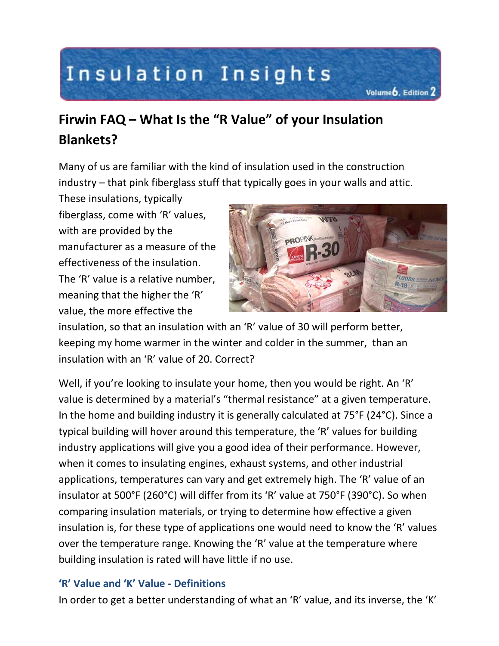# Insulation Insights

# **Firwin FAQ – What Is the "R Value" of your Insulation Blankets?**

Many of us are familiar with the kind of insulation used in the construction industry – that pink fiberglass stuff that typically goes in your walls and attic.

These insulations, typically fiberglass, come with 'R' values, with are provided by the manufacturer as a measure of the effectiveness of the insulation. The 'R' value is a relative number, meaning that the higher the 'R' value, the more effective the



Volume<sub>b</sub>, Edition 2

insulation, so that an insulation with an 'R' value of 30 will perform better, keeping my home warmer in the winter and colder in the summer, than an insulation with an 'R' value of 20. Correct?

Well, if you're looking to insulate your home, then you would be right. An 'R' value is determined by a material's "thermal resistance" at a given temperature. In the home and building industry it is generally calculated at 75°F (24°C). Since a typical building will hover around this temperature, the 'R' values for building industry applications will give you a good idea of their performance. However, when it comes to insulating engines, exhaust systems, and other industrial applications, temperatures can vary and get extremely high. The 'R' value of an insulator at 500°F (260°C) will differ from its 'R' value at 750°F (390°C). So when comparing insulation materials, or trying to determine how effective a given insulation is, for these type of applications one would need to know the 'R' values over the temperature range. Knowing the 'R' value at the temperature where building insulation is rated will have little if no use.

## **'R' Value and 'K' Value - Definitions**

In order to get a better understanding of what an 'R' value, and its inverse, the 'K'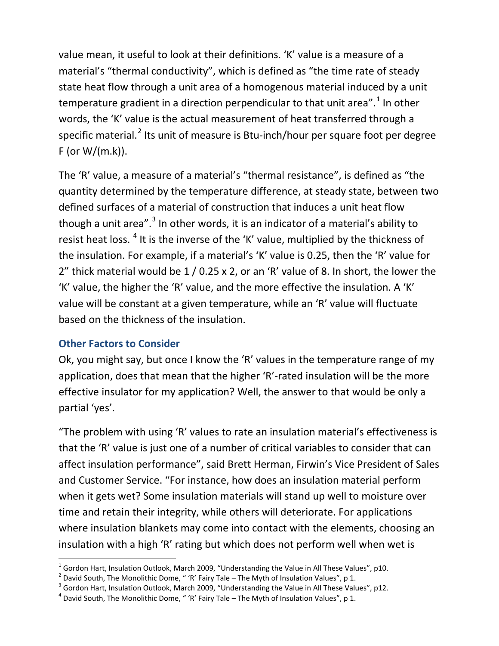value mean, it useful to look at their definitions. 'K' value is a measure of a material's "thermal conductivity", which is defined as "the time rate of steady state heat flow through a unit area of a homogenous material induced by a unit temperature gradient in a direction perpendicular to that unit area".<sup>[1](#page-1-0)</sup> In other words, the 'K' value is the actual measurement of heat transferred through a specific material.<sup>[2](#page-1-1)</sup> Its unit of measure is Btu-inch/hour per square foot per degree  $F$  (or W/(m.k)).

The 'R' value, a measure of a material's "thermal resistance", is defined as "the quantity determined by the temperature difference, at steady state, between two defined surfaces of a material of construction that induces a unit heat flow though a unit area".<sup>[3](#page-1-2)</sup> In other words, it is an indicator of a material's ability to resist heat loss. <sup>[4](#page-1-3)</sup> It is the inverse of the 'K' value, multiplied by the thickness of the insulation. For example, if a material's 'K' value is 0.25, then the 'R' value for 2" thick material would be 1 / 0.25 x 2, or an 'R' value of 8. In short, the lower the 'K' value, the higher the 'R' value, and the more effective the insulation. A 'K' value will be constant at a given temperature, while an 'R' value will fluctuate based on the thickness of the insulation.

### **Other Factors to Consider**

Ok, you might say, but once I know the 'R' values in the temperature range of my application, does that mean that the higher 'R'-rated insulation will be the more effective insulator for my application? Well, the answer to that would be only a partial 'yes'.

"The problem with using 'R' values to rate an insulation material's effectiveness is that the 'R' value is just one of a number of critical variables to consider that can affect insulation performance", said Brett Herman, Firwin's Vice President of Sales and Customer Service. "For instance, how does an insulation material perform when it gets wet? Some insulation materials will stand up well to moisture over time and retain their integrity, while others will deteriorate. For applications where insulation blankets may come into contact with the elements, choosing an insulation with a high 'R' rating but which does not perform well when wet is

<span id="page-1-0"></span> $1$  Gordon Hart, Insulation Outlook, March 2009, "Understanding the Value in All These Values", p10.

<span id="page-1-1"></span> $2$  David South, The Monolithic Dome, " 'R' Fairy Tale – The Myth of Insulation Values", p 1.

<span id="page-1-2"></span><sup>&</sup>lt;sup>3</sup> Gordon Hart, Insulation Outlook, March 2009, "Understanding the Value in All These Values", p12.

<span id="page-1-3"></span> $^4$  David South, The Monolithic Dome, " 'R' Fairy Tale – The Myth of Insulation Values", p 1.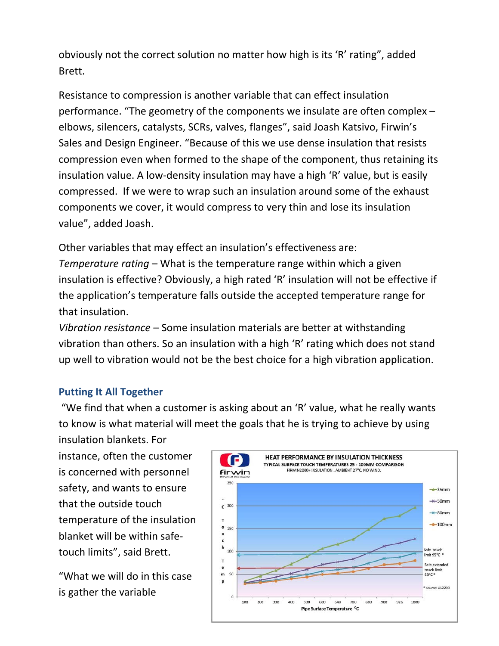obviously not the correct solution no matter how high is its 'R' rating", added Brett.

Resistance to compression is another variable that can effect insulation performance. "The geometry of the components we insulate are often complex – elbows, silencers, catalysts, SCRs, valves, flanges", said Joash Katsivo, Firwin's Sales and Design Engineer. "Because of this we use dense insulation that resists compression even when formed to the shape of the component, thus retaining its insulation value. A low-density insulation may have a high 'R' value, but is easily compressed. If we were to wrap such an insulation around some of the exhaust components we cover, it would compress to very thin and lose its insulation value", added Joash.

Other variables that may effect an insulation's effectiveness are:

*Temperature rating* – What is the temperature range within which a given insulation is effective? Obviously, a high rated 'R' insulation will not be effective if the application's temperature falls outside the accepted temperature range for that insulation.

*Vibration resistance* – Some insulation materials are better at withstanding vibration than others. So an insulation with a high 'R' rating which does not stand up well to vibration would not be the best choice for a high vibration application.

### **Putting It All Together**

"We find that when a customer is asking about an 'R' value, what he really wants to know is what material will meet the goals that he is trying to achieve by using insulation blankets. For

instance, often the customer is concerned with personnel safety, and wants to ensure that the outside touch temperature of the insulation blanket will be within safetouch limits", said Brett.

"What we will do in this case is gather the variable